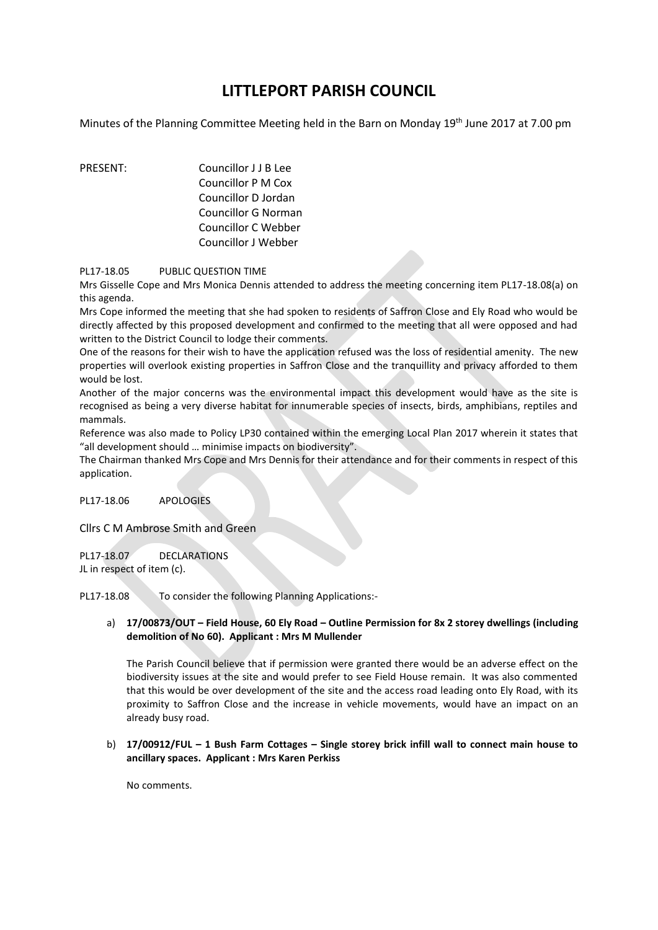## **LITTLEPORT PARISH COUNCIL**

Minutes of the Planning Committee Meeting held in the Barn on Monday 19<sup>th</sup> June 2017 at 7.00 pm

PRESENT: Councillor J J B Lee Councillor P M Cox Councillor D Jordan Councillor G Norman Councillor C Webber Councillor J Webber

PL17-18.05 PUBLIC QUESTION TIME

Mrs Gisselle Cope and Mrs Monica Dennis attended to address the meeting concerning item PL17-18.08(a) on this agenda.

Mrs Cope informed the meeting that she had spoken to residents of Saffron Close and Ely Road who would be directly affected by this proposed development and confirmed to the meeting that all were opposed and had written to the District Council to lodge their comments.

One of the reasons for their wish to have the application refused was the loss of residential amenity. The new properties will overlook existing properties in Saffron Close and the tranquillity and privacy afforded to them would be lost.

Another of the major concerns was the environmental impact this development would have as the site is recognised as being a very diverse habitat for innumerable species of insects, birds, amphibians, reptiles and mammals.

Reference was also made to Policy LP30 contained within the emerging Local Plan 2017 wherein it states that "all development should … minimise impacts on biodiversity".

The Chairman thanked Mrs Cope and Mrs Dennis for their attendance and for their comments in respect of this application.

PL17-18.06 APOLOGIES

Cllrs C M Ambrose Smith and Green

PL17-18.07 DECLARATIONS JL in respect of item (c).

PL17-18.08 To consider the following Planning Applications:-

## a) **17/00873/OUT – Field House, 60 Ely Road – Outline Permission for 8x 2 storey dwellings (including demolition of No 60). Applicant : Mrs M Mullender**

The Parish Council believe that if permission were granted there would be an adverse effect on the biodiversity issues at the site and would prefer to see Field House remain. It was also commented that this would be over development of the site and the access road leading onto Ely Road, with its proximity to Saffron Close and the increase in vehicle movements, would have an impact on an already busy road.

## b) **17/00912/FUL – 1 Bush Farm Cottages – Single storey brick infill wall to connect main house to ancillary spaces. Applicant : Mrs Karen Perkiss**

No comments.